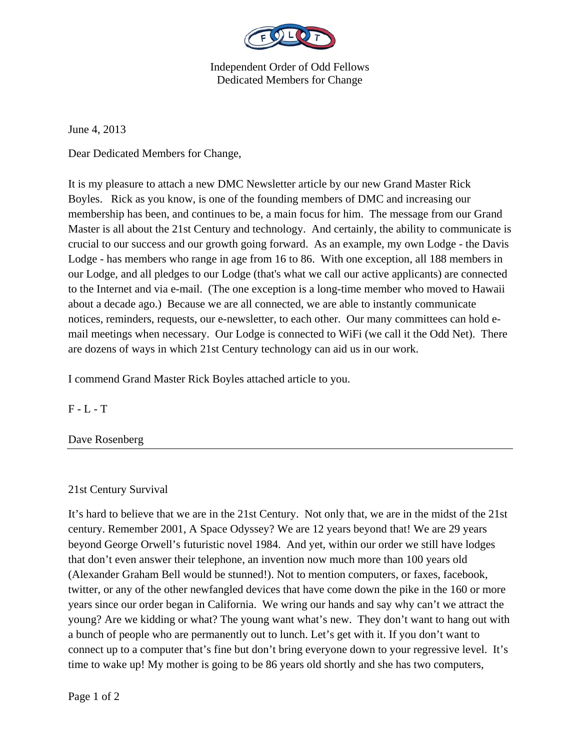

Independent Order of Odd Fellows Dedicated Members for Change

June 4, 2013

Dear Dedicated Members for Change,

It is my pleasure to attach a new DMC Newsletter article by our new Grand Master Rick Boyles. Rick as you know, is one of the founding members of DMC and increasing our membership has been, and continues to be, a main focus for him. The message from our Grand Master is all about the 21st Century and technology. And certainly, the ability to communicate is crucial to our success and our growth going forward. As an example, my own Lodge - the Davis Lodge - has members who range in age from 16 to 86. With one exception, all 188 members in our Lodge, and all pledges to our Lodge (that's what we call our active applicants) are connected to the Internet and via e-mail. (The one exception is a long-time member who moved to Hawaii about a decade ago.) Because we are all connected, we are able to instantly communicate notices, reminders, requests, our e-newsletter, to each other. Our many committees can hold email meetings when necessary. Our Lodge is connected to WiFi (we call it the Odd Net). There are dozens of ways in which 21st Century technology can aid us in our work.

I commend Grand Master Rick Boyles attached article to you.

 $F - L - T$ 

Dave Rosenberg

21st Century Survival

It's hard to believe that we are in the 21st Century. Not only that, we are in the midst of the 21st century. Remember 2001, A Space Odyssey? We are 12 years beyond that! We are 29 years beyond George Orwell's futuristic novel 1984. And yet, within our order we still have lodges that don't even answer their telephone, an invention now much more than 100 years old (Alexander Graham Bell would be stunned!). Not to mention computers, or faxes, facebook, twitter, or any of the other newfangled devices that have come down the pike in the 160 or more years since our order began in California. We wring our hands and say why can't we attract the young? Are we kidding or what? The young want what's new. They don't want to hang out with a bunch of people who are permanently out to lunch. Let's get with it. If you don't want to connect up to a computer that's fine but don't bring everyone down to your regressive level. It's time to wake up! My mother is going to be 86 years old shortly and she has two computers,